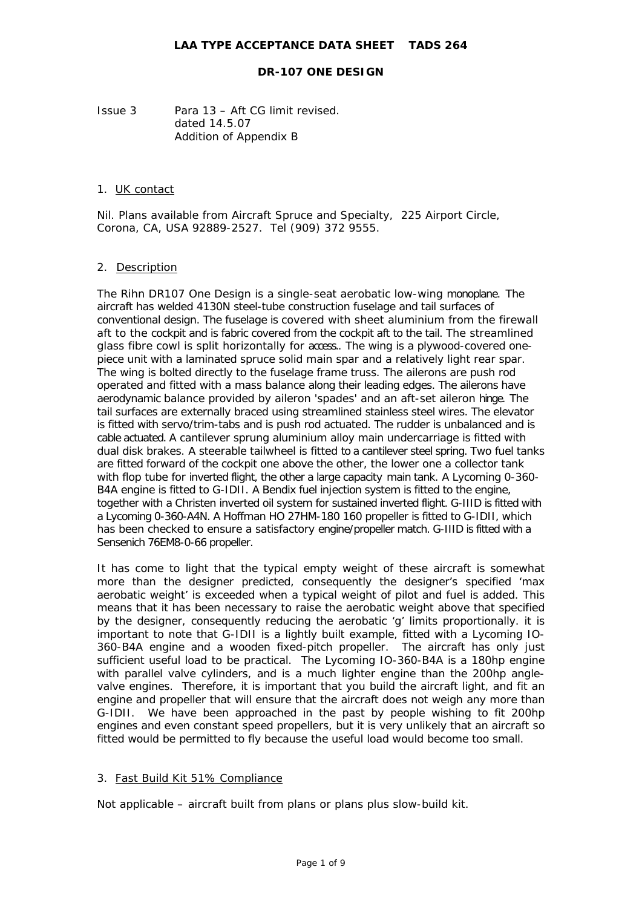Issue 3 Para 13 – Aft CG limit revised. dated 14.5.07 Addition of Appendix B

#### 1. UK contact

Nil. Plans available from Aircraft Spruce and Specialty, 225 Airport Circle, Corona, CA, USA 92889-2527. Tel (909) 372 9555.

### 2. Description

The Rihn DR107 One Design is a single-seat aerobatic low-wing monoplane. The aircraft has welded 4130N steel-tube construction fuselage and tail surfaces of conventional design. The fuselage is covered with sheet aluminium from the firewall aft to the cockpit and is fabric covered from the cockpit aft to the tail. The streamlined glass fibre cowl is split horizontally for access.. The wing is a plywood-covered onepiece unit with a laminated spruce solid main spar and a relatively light rear spar. The wing is bolted directly to the fuselage frame truss. The ailerons are push rod operated and fitted with a mass balance along their leading edges. The ailerons have aerodynamic balance provided by aileron 'spades' and an aft-set aileron hinge. The tail surfaces are externally braced using streamlined stainless steel wires. The elevator is fitted with servo/trim-tabs and is push rod actuated. The rudder is unbalanced and is cable actuated. A cantilever sprung aluminium alloy main undercarriage is fitted with dual disk brakes. A steerable tailwheel is fitted to a cantilever steel spring. Two fuel tanks are fitted forward of the cockpit one above the other, the lower one a collector tank with flop tube for inverted flight, the other a large capacity main tank. A Lycoming 0-360- B4A engine is fitted to G-IDII. A Bendix fuel injection system is fitted to the engine, together with a Christen inverted oil system for sustained inverted flight. G-IIID is fitted with a Lycoming 0-360-A4N. A Hoffman HO 27HM-180 160 propeller is fitted to G-IDII, which has been checked to ensure a satisfactory engine/propeller match. G-IIID is fitted with a Sensenich 76EM8-0-66 propeller.

It has come to light that the typical empty weight of these aircraft is somewhat more than the designer predicted, consequently the designer's specified 'max aerobatic weight' is exceeded when a typical weight of pilot and fuel is added. This means that it has been necessary to raise the aerobatic weight above that specified by the designer, consequently reducing the aerobatic 'g' limits proportionally. it is important to note that G-IDII is a lightly built example, fitted with a Lycoming IO-360-B4A engine and a wooden fixed-pitch propeller. The aircraft has only just sufficient useful load to be practical. The Lycoming IO-360-B4A is a 180hp engine with parallel valve cylinders, and is a much lighter engine than the 200hp anglevalve engines. Therefore, it is important that you build the aircraft light, and fit an engine and propeller that will ensure that the aircraft does not weigh any more than G-IDII. We have been approached in the past by people wishing to fit 200hp engines and even constant speed propellers, but it is very unlikely that an aircraft so fitted would be permitted to fly because the useful load would become too small.

# 3. Fast Build Kit 51% Compliance

Not applicable – aircraft built from plans or plans plus slow-build kit.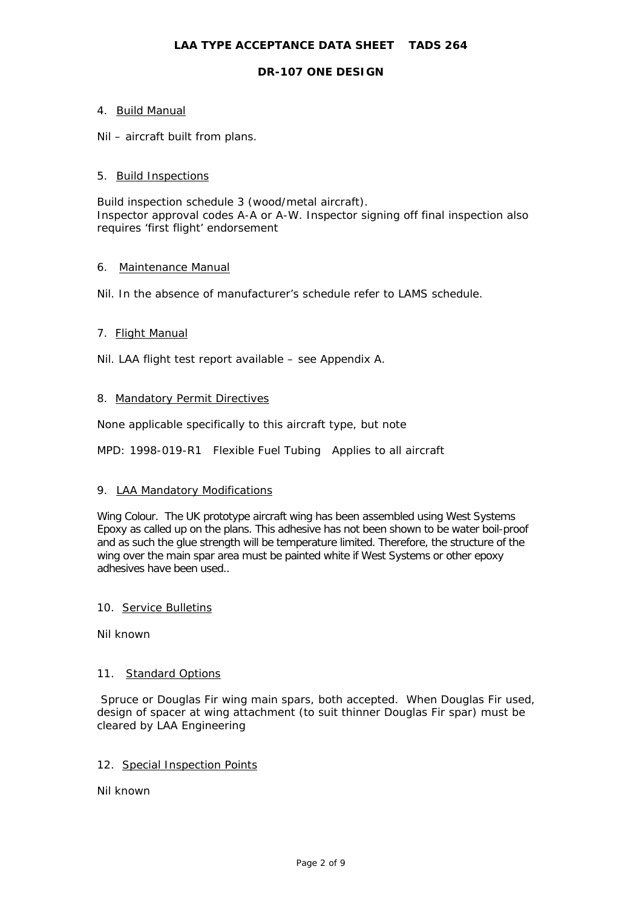# **DR-107 ONE DESIGN**

# 4. Build Manual

Nil – aircraft built from plans.

### 5. Build Inspections

Build inspection schedule 3 (wood/metal aircraft). Inspector approval codes A-A or A-W. Inspector signing off final inspection also requires 'first flight' endorsement

### 6. Maintenance Manual

Nil. In the absence of manufacturer's schedule refer to LAMS schedule.

### 7. Flight Manual

Nil. LAA flight test report available – see Appendix A.

### 8. Mandatory Permit Directives

None applicable specifically to this aircraft type, but note

MPD: 1998-019-R1 Flexible Fuel Tubing Applies to all aircraft

#### 9. LAA Mandatory Modifications

Wing Colour. The UK prototype aircraft wing has been assembled using West Systems Epoxy as called up on the plans. This adhesive has not been shown to be water boil-proof and as such the glue strength will be temperature limited. Therefore, the structure of the wing over the main spar area must be painted white if West Systems or other epoxy adhesives have been used..

#### 10. Service Bulletins

Nil known

#### 11. Standard Options

 Spruce or Douglas Fir wing main spars, both accepted. When Douglas Fir used, design of spacer at wing attachment (to suit thinner Douglas Fir spar) must be cleared by LAA Engineering

# 12. Special Inspection Points

Nil known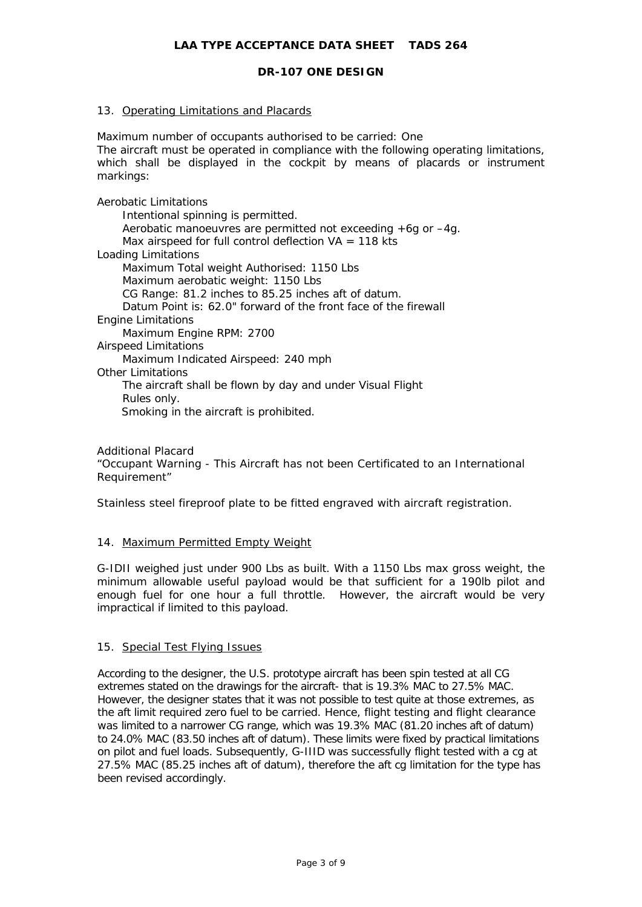### 13. Operating Limitations and Placards

Maximum number of occupants authorised to be carried: One The aircraft must be operated in compliance with the following operating limitations, which shall be displayed in the cockpit by means of placards or instrument markings:

Aerobatic Limitations Intentional spinning is permitted. Aerobatic manoeuvres are permitted not exceeding +6g or –4g. Max airspeed for full control deflection  $VA = 118$  kts Loading Limitations Maximum Total weight Authorised: 1150 Lbs Maximum aerobatic weight: 1150 Lbs CG Range: 81.2 inches to 85.25 inches aft of datum. Datum Point is: 62.0" forward of the front face of the firewall Engine Limitations Maximum Engine RPM: 2700 Airspeed Limitations Maximum Indicated Airspeed: 240 mph Other Limitations The aircraft shall be flown by day and under Visual Flight Rules only. Smoking in the aircraft is prohibited.

Additional Placard "Occupant Warning - This Aircraft has not been Certificated to an International Requirement"

Stainless steel fireproof plate to be fitted engraved with aircraft registration.

#### 14. Maximum Permitted Empty Weight

G-IDII weighed just under 900 Lbs as built. With a 1150 Lbs max gross weight, the minimum allowable useful payload would be that sufficient for a 190lb pilot and enough fuel for one hour a full throttle. However, the aircraft would be very impractical if limited to this payload.

#### 15. Special Test Flying Issues

According to the designer, the U.S. prototype aircraft has been spin tested at all CG extremes stated on the drawings for the aircraft- that is 19.3% MAC to 27.5% MAC. However, the designer states that it was not possible to test quite at those extremes, as the aft limit required zero fuel to be carried. Hence, flight testing and flight clearance was limited to a narrower CG range, which was 19.3% MAC (81.20 inches aft of datum) to 24.0% MAC (83.50 inches aft of datum). These limits were fixed by practical limitations on pilot and fuel loads. Subsequently, G-IIID was successfully flight tested with a cg at 27.5% MAC (85.25 inches aft of datum), therefore the aft cg limitation for the type has been revised accordingly.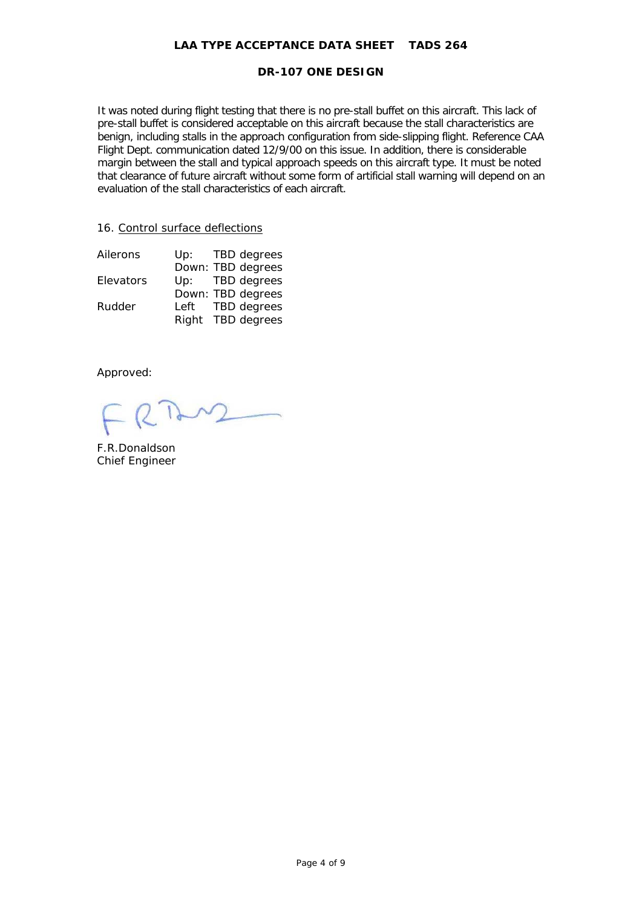### **DR-107 ONE DESIGN**

It was noted during flight testing that there is no pre-stall buffet on this aircraft. This lack of pre-stall buffet is considered acceptable on this aircraft because the stall characteristics are benign, including stalls in the approach configuration from side-slipping flight. Reference CAA Flight Dept. communication dated 12/9/00 on this issue. In addition, there is considerable margin between the stall and typical approach speeds on this aircraft type. It must be noted that clearance of future aircraft without some form of artificial stall warning will depend on an evaluation of the stall characteristics of each aircraft.

### 16. Control surface deflections

| Ailerons  |  | Up: TBD degrees   |
|-----------|--|-------------------|
|           |  | Down: TBD degrees |
| Elevators |  | Up: TBD degrees   |
|           |  | Down: TBD degrees |
| Rudder    |  | Left TBD degrees  |
|           |  | Right TBD degrees |

Approved:

F.R.Donaldson Chief Engineer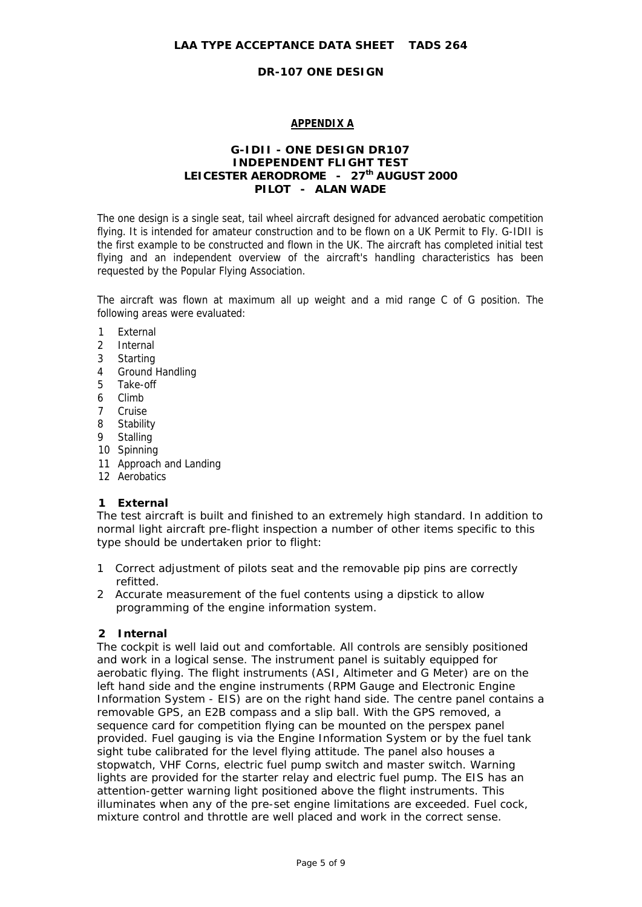# **APPENDIX A**

# **G-IDII - ONE DESIGN DR107 INDEPENDENT FLIGHT TEST** LEICESTER AERODROME - 27<sup>th</sup> AUGUST 2000 **PILOT - ALAN WADE**

The one design is a single seat, tail wheel aircraft designed for advanced aerobatic competition flying. It is intended for amateur construction and to be flown on a UK Permit to Fly. G-IDII is the first example to be constructed and flown in the UK. The aircraft has completed initial test flying and an independent overview of the aircraft's handling characteristics has been requested by the Popular Flying Association.

The aircraft was flown at maximum all up weight and a mid range C of G position. The following areas were evaluated:

- 1 External
- 2 Internal
- 3 Starting
- 4 Ground Handling
- 5 Take-off
- 6 Climb
- 7 Cruise
- 8 Stability
- 9 Stalling
- 10 Spinning
- 11 Approach and Landing
- 12 Aerobatics

# **1 External**

The test aircraft is built and finished to an extremely high standard. In addition to normal light aircraft pre-flight inspection a number of other items specific to this type should be undertaken prior to flight:

- 1 Correct adjustment of pilots seat and the removable pip pins are correctly refitted.
- 2 Accurate measurement of the fuel contents using a dipstick to allow programming of the engine information system.

# **2 Internal**

The cockpit is well laid out and comfortable. All controls are sensibly positioned and work in a logical sense. The instrument panel is suitably equipped for aerobatic flying. The flight instruments (ASI, Altimeter and G Meter) are on the left hand side and the engine instruments (RPM Gauge and Electronic Engine Information System - EIS) are on the right hand side. The centre panel contains a removable GPS, an E2B compass and a slip ball. With the GPS removed, a sequence card for competition flying can be mounted on the perspex panel provided. Fuel gauging is via the Engine Information System or by the fuel tank sight tube calibrated for the level flying attitude. The panel also houses a stopwatch, VHF Corns, electric fuel pump switch and master switch. Warning lights are provided for the starter relay and electric fuel pump. The EIS has an attention-getter warning light positioned above the flight instruments. This illuminates when any of the pre-set engine limitations are exceeded. Fuel cock, mixture control and throttle are well placed and work in the correct sense.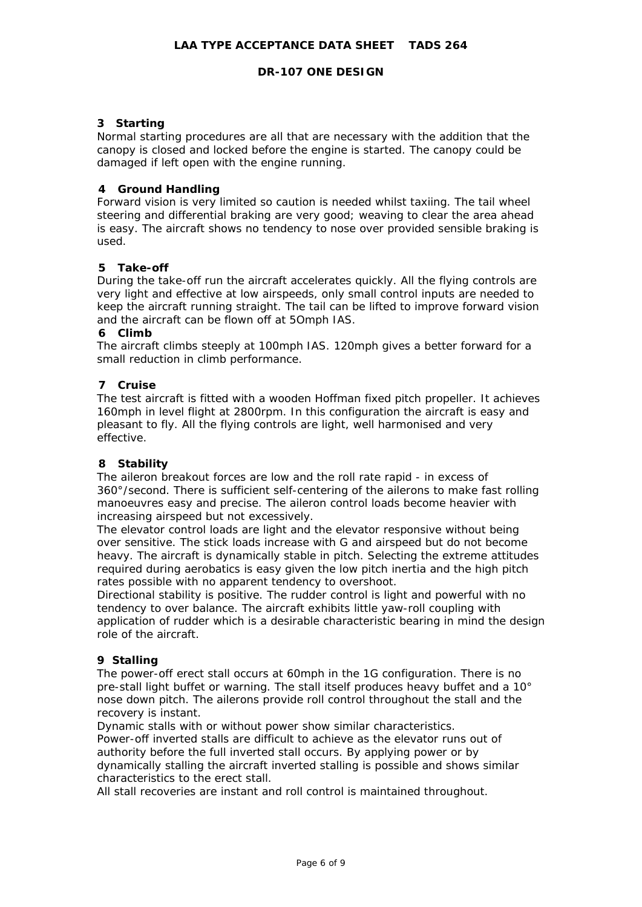# **3 Starting**

Normal starting procedures are all that are necessary with the addition that the canopy is closed and locked before the engine is started. The canopy could be damaged if left open with the engine running.

### **4 Ground Handling**

Forward vision is very limited so caution is needed whilst taxiing. The tail wheel steering and differential braking are very good; weaving to clear the area ahead is easy. The aircraft shows no tendency to nose over provided sensible braking is used.

# **5 Take-off**

During the take-off run the aircraft accelerates quickly. All the flying controls are very light and effective at low airspeeds, only small control inputs are needed to keep the aircraft running straight. The tail can be lifted to improve forward vision and the aircraft can be flown off at 5Omph IAS.

#### **6 Climb**

The aircraft climbs steeply at 100mph IAS. 120mph gives a better forward for a small reduction in climb performance.

### **7 Cruise**

The test aircraft is fitted with a wooden Hoffman fixed pitch propeller. It achieves 160mph in level flight at 2800rpm. In this configuration the aircraft is easy and pleasant to fly. All the flying controls are light, well harmonised and very effective.

# **8 Stability**

The aileron breakout forces are low and the roll rate rapid - in excess of 360°/second. There is sufficient self-centering of the ailerons to make fast rolling manoeuvres easy and precise. The aileron control loads become heavier with increasing airspeed but not excessively.

The elevator control loads are light and the elevator responsive without being over sensitive. The stick loads increase with G and airspeed but do not become heavy. The aircraft is dynamically stable in pitch. Selecting the extreme attitudes required during aerobatics is easy given the low pitch inertia and the high pitch rates possible with no apparent tendency to overshoot.

Directional stability is positive. The rudder control is light and powerful with no tendency to over balance. The aircraft exhibits little yaw-roll coupling with application of rudder which is a desirable characteristic bearing in mind the design role of the aircraft.

#### **9 Stalling**

The power-off erect stall occurs at 60mph in the 1G configuration. There is no pre-stall light buffet or warning. The stall itself produces heavy buffet and a 10° nose down pitch. The ailerons provide roll control throughout the stall and the recovery is instant.

Dynamic stalls with or without power show similar characteristics.

Power-off inverted stalls are difficult to achieve as the elevator runs out of authority before the full inverted stall occurs. By applying power or by dynamically stalling the aircraft inverted stalling is possible and shows similar characteristics to the erect stall.

All stall recoveries are instant and roll control is maintained throughout.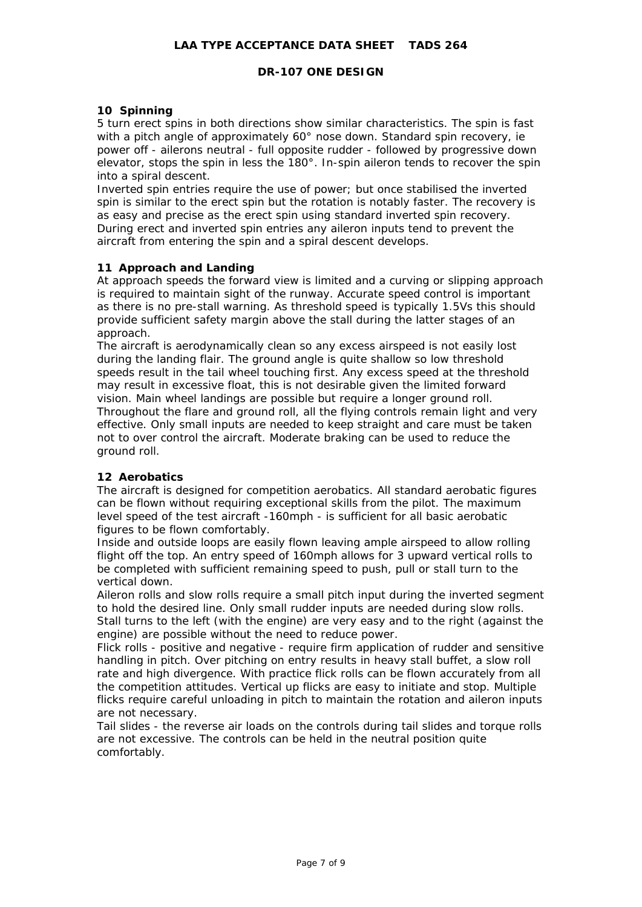# **DR-107 ONE DESIGN**

### **10 Spinning**

5 turn erect spins in both directions show similar characteristics. The spin is fast with a pitch angle of approximately 60° nose down. Standard spin recovery, ie power off - ailerons neutral - full opposite rudder - followed by progressive down elevator, stops the spin in less the 180°. In-spin aileron tends to recover the spin into a spiral descent.

Inverted spin entries require the use of power; but once stabilised the inverted spin is similar to the erect spin but the rotation is notably faster. The recovery is as easy and precise as the erect spin using standard inverted spin recovery. During erect and inverted spin entries any aileron inputs tend to prevent the aircraft from entering the spin and a spiral descent develops.

# **11 Approach and Landing**

At approach speeds the forward view is limited and a curving or slipping approach is required to maintain sight of the runway. Accurate speed control is important as there is no pre-stall warning. As threshold speed is typically 1.5Vs this should provide sufficient safety margin above the stall during the latter stages of an approach.

The aircraft is aerodynamically clean so any excess airspeed is not easily lost during the landing flair. The ground angle is quite shallow so low threshold speeds result in the tail wheel touching first. Any excess speed at the threshold may result in excessive float, this is not desirable given the limited forward vision. Main wheel landings are possible but require a longer ground roll. Throughout the flare and ground roll, all the flying controls remain light and very effective. Only small inputs are needed to keep straight and care must be taken not to over control the aircraft. Moderate braking can be used to reduce the ground roll.

#### **12 Aerobatics**

The aircraft is designed for competition aerobatics. All standard aerobatic figures can be flown without requiring exceptional skills from the pilot. The maximum level speed of the test aircraft -160mph - is sufficient for all basic aerobatic figures to be flown comfortably.

Inside and outside loops are easily flown leaving ample airspeed to allow rolling flight off the top. An entry speed of 160mph allows for 3 upward vertical rolls to be completed with sufficient remaining speed to push, pull or stall turn to the vertical down.

Aileron rolls and slow rolls require a small pitch input during the inverted segment to hold the desired line. Only small rudder inputs are needed during slow rolls. Stall turns to the left (with the engine) are very easy and to the right (against the engine) are possible without the need to reduce power.

Flick rolls - positive and negative - require firm application of rudder and sensitive handling in pitch. Over pitching on entry results in heavy stall buffet, a slow roll rate and high divergence. With practice flick rolls can be flown accurately from all the competition attitudes. Vertical up flicks are easy to initiate and stop. Multiple flicks require careful unloading in pitch to maintain the rotation and aileron inputs are not necessary.

Tail slides - the reverse air loads on the controls during tail slides and torque rolls are not excessive. The controls can be held in the neutral position quite comfortably.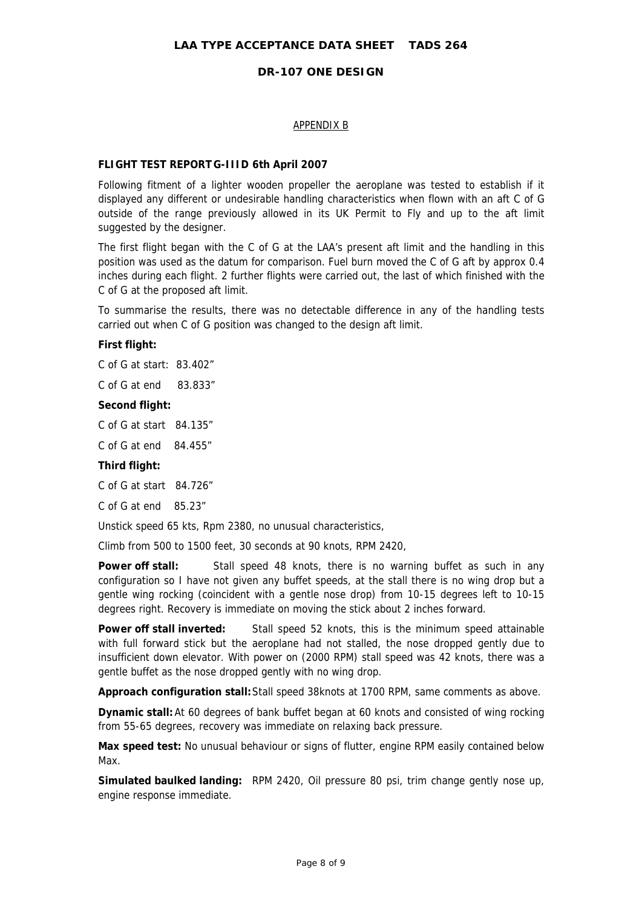# APPENDIX B

### **FLIGHT TEST REPORT G-IIID 6th April 2007**

Following fitment of a lighter wooden propeller the aeroplane was tested to establish if it displayed any different or undesirable handling characteristics when flown with an aft C of G outside of the range previously allowed in its UK Permit to Fly and up to the aft limit suggested by the designer.

The first flight began with the C of G at the LAA's present aft limit and the handling in this position was used as the datum for comparison. Fuel burn moved the C of G aft by approx 0.4 inches during each flight. 2 further flights were carried out, the last of which finished with the C of G at the proposed aft limit.

To summarise the results, there was no detectable difference in any of the handling tests carried out when C of G position was changed to the design aft limit.

### **First flight:**

C of G at start: 83.402"

C of G at end 83.833"

#### **Second flight:**

C of G at start 84.135"

C of G at end 84.455"

#### **Third flight:**

C of G at start 84.726"

C of G at end 85.23"

Unstick speed 65 kts, Rpm 2380, no unusual characteristics,

Climb from 500 to 1500 feet, 30 seconds at 90 knots, RPM 2420,

**Power off stall:** Stall speed 48 knots, there is no warning buffet as such in any configuration so I have not given any buffet speeds, at the stall there is no wing drop but a gentle wing rocking (coincident with a gentle nose drop) from 10-15 degrees left to 10-15 degrees right. Recovery is immediate on moving the stick about 2 inches forward.

**Power off stall inverted:** Stall speed 52 knots, this is the minimum speed attainable with full forward stick but the aeroplane had not stalled, the nose dropped gently due to insufficient down elevator. With power on (2000 RPM) stall speed was 42 knots, there was a gentle buffet as the nose dropped gently with no wing drop.

**Approach configuration stall:**Stall speed 38knots at 1700 RPM, same comments as above.

**Dynamic stall:** At 60 degrees of bank buffet began at 60 knots and consisted of wing rocking from 55-65 degrees, recovery was immediate on relaxing back pressure.

**Max speed test:** No unusual behaviour or signs of flutter, engine RPM easily contained below Max.

**Simulated baulked landing:** RPM 2420, Oil pressure 80 psi, trim change gently nose up, engine response immediate.